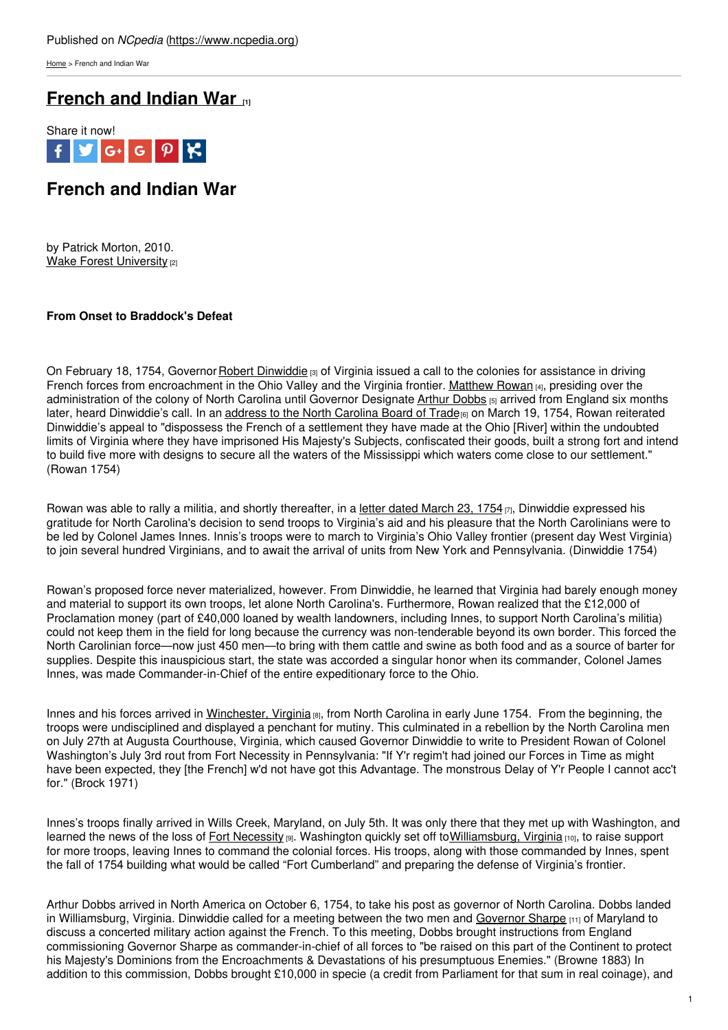[Home](https://www.ncpedia.org/) > French and Indian War

# **[French](https://www.ncpedia.org/french-and-indian-war-0) and Indian War [1]**



# **French and Indian War**

by Patrick Morton, 2010. Wake Forest [University](https://www.wfu.edu) [2]

## **From Onset to Braddock's Defea[t](http://www.social9.com)**

On February 18, 1754, Governor Robert [Dinwiddie](https://ohiohistorycentral.org/w/Dinwiddie,_Robert?rec=114)  $\alpha$  of Virginia issued a call to the colonies for assistance in driving French forces from encroachment in the Ohio Valley and the Virginia frontier. [Matthew](https://www.ncpedia.org/rowan-matthew-research-branch-nc) Rowan [4], presiding over the administration of the colony of North Carolina until Governor Designate Arthur [Dobbs](https://www.ncpedia.org/dobbs-arthur) [5] arrived from England six months later, heard Dinwiddie's call. In an address to the North [Carolina](https://docsouth.unc.edu/csr/index.html/document/csr05-0029) Board of Trade<sub>[6]</sub> on March 19, 1754, Rowan reiterated Dinwiddie's appeal to "dispossess the French of a settlement they have made at the Ohio [River] within the undoubted limits of Virginia where they have imprisoned His Majesty's Subjects, confiscated their goods, built a strong fort and intend to build five more with designs to secure all the waters of the Mississippi which waters come close to our settlement." (Rowan 1754)

Rowan was able to rally a militia, and shortly thereafter, in a letter dated [March](https://docsouth.unc.edu/csr/index.html/document/csr05-0030) 23, 1754  $_{[7]}$ , Dinwiddie expressed his gratitude for North Carolina's decision to send troops to Virginia's aid and his pleasure that the North Carolinians were to be led by Colonel James Innes. Innis's troops were to march to Virginia's Ohio Valley frontier (present day West Virginia) to join several hundred Virginians, and to await the arrival of units from New York and Pennsylvania. (Dinwiddie 1754)

Rowan's proposed force never materialized, however. From Dinwiddie, he learned that Virginia had barely enough money and material to support its own troops, let alone North Carolina's. Furthermore, Rowan realized that the £12,000 of Proclamation money (part of £40,000 loaned by wealth landowners, including Innes, to support North Carolina's militia) could not keep them in the field for long because the currency was non-tenderable beyond its own border. This forced the North Carolinian force—now just 450 men—to bring with them cattle and swine as both food and as a source of barter for supplies. Despite this inauspicious start, the state was accorded a singular honor when its commander, Colonel James Innes, was made Commander-in-Chief of the entire expeditionary force to the Ohio.

Innes and his forces arrived in [Winchester,](https://www.winchesterva.gov/) Virginia [8], from North Carolina in early June 1754. From the beginning, the troops were undisciplined and displayed a penchant for mutiny. This culminated in a rebellion by the North Carolina men on July 27th at Augusta Courthouse, Virginia, which caused Governor Dinwiddie to write to President Rowan of Colonel Washington's July 3rd rout from Fort Necessity in Pennsylvania: "If Y'r regim't had joined our Forces in Time as might have been expected, they [the French] w'd not have got this Advantage. The monstrous Delay of Y'r People I cannot acc't for." (Brock 1971)

Innes's troops finally arrived in Wills Creek, Maryland, on July 5th. It was only there that they met up with Washington, and learned the news of the loss of Fort [Necessity](https://www.nps.gov/fone/index.htm) [9]. Washington quickly set off to[Williamsburg,](https://www.colonialwilliamsburg.org/) Virginia [10], to raise support for more troops, leaving Innes to command the colonial forces. His troops, along with those commanded by Innes, spent the fall of 1754 building what would be called "Fort Cumberland" and preparing the defense of Virginia's frontier.

Arthur Dobbs arrived in North America on October 6, 1754, to take his post as governor of North Carolina. Dobbs landed in Williamsburg, Virginia. Dinwiddie called for a meeting between the two men and [Governor](http://www.msa.md.gov/msa/speccol/sc3500/sc3520/001100/001113/html/msa01113.html) Sharpe [11] of Maryland to discuss a concerted military action against the French. To this meeting, Dobbs brought instructions from England commissioning Governor Sharpe as commander-in-chief of all forces to "be raised on this part of the Continent to protect his Majesty's Dominions from the Encroachments & Devastations of his presumptuous Enemies." (Browne 1883) In addition to this commission, Dobbs brought £10,000 in specie (a credit from Parliament for that sum in real coinage), and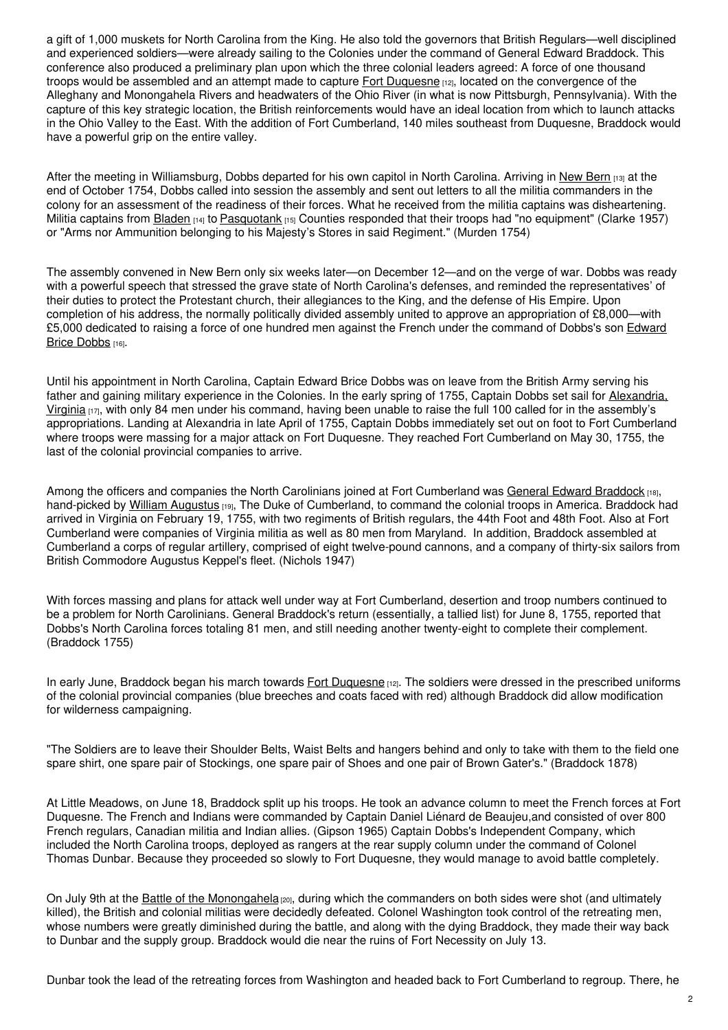a gift of 1,000 muskets for North Carolina from the King. He also told the governors that British Regulars—well disciplined and experienced soldiers—were already sailing to the Colonies under the command of General Edward Braddock. This conference also produced a preliminary plan upon which the three colonial leaders agreed: A force of one thousand troops would be assembled and an attempt made to capture Fort [Duquesne](https://ohiohistorycentral.org/w/Fort_Duquesne?rec=705) [12], located on the convergence of the Alleghany and Monongahela Rivers and headwaters of the Ohio River (in what is now Pittsburgh, Pennsylvania). With the capture of this key strategic location, the British reinforcements would have an ideal location from which to launch attacks in the Ohio Valley to the East. With the addition of Fort Cumberland, 140 miles southeast from Duquesne, Braddock would have a powerful grip on the entire valley.

After the meeting in Williamsburg, Dobbs departed for his own capitol in North Carolina. Arriving in New [Bern](https://www.newbernnc.gov/) [13] at the end of October 1754, Dobbs called into session the assembly and sent out letters to all the militia commanders in the colony for an assessment of the readiness of their forces. What he received from the militia captains was disheartening. Militia captains from [Bladen](https://www.ncpedia.org/geography/bladen)  $[14]$  to [Pasquotank](https://www.ncpedia.org/geography/pasquotank)  $[15]$  Counties responded that their troops had "no equipment" (Clarke 1957) or "Arms nor Ammunition belonging to his Majesty's Stores in said Regiment." (Murden 1754)

The assembly convened in New Bern only six weeks later—on December 12—and on the verge of war. Dobbs was ready with a powerful speech that stressed the grave state of North Carolina's defenses, and reminded the representatives' of their duties to protect the Protestant church, their allegiances to the King, and the defense of His Empire. Upon completion of his address, the normally politically divided assembly united to approve an appropriation of £8,000—with £5,000 dedicated to raising a force of one hundred men against the French under the [command](https://www.ncpedia.org/biography/dobbs-edward-brice) of Dobbs's son Edward Brice Dobbs [16].

Until his appointment in North Carolina, Captain Edward Brice Dobbs was on leave from the British Army serving his father and gaining military [experience](https://alexandriava.gov/) in the Colonies. In the early spring of 1755, Captain Dobbs set sail for Alexandria, Virginia  $_{17}$ , with only 84 men under his command, having been unable to raise the full 100 called for in the assembly's appropriations. Landing at Alexandria in late April of 1755, Captain Dobbs immediately set out on foot to Fort Cumberland where troops were massing for a major attack on Fort Duquesne. They reached Fort Cumberland on May 30, 1755, the last of the colonial provincial companies to arrive.

Among the officers and companies the North Carolinians joined at Fort Cumberland was General Edward [Braddock](https://ohiohistorycentral.org/w/Braddock,_Edward?rec=46) [18], hand-picked by William [Augustus](https://www.britannica.com/biography/William-Augustus-Duke-of-Cumberland) [19], The Duke of Cumberland, to command the colonial troops in America. Braddock had arrived in Virginia on February 19, 1755, with two regiments of British regulars, the 44th Foot and 48th Foot. Also at Fort Cumberland were companies of Virginia militia as well as 80 men from Maryland. In addition, Braddock assembled at Cumberland a corps of regular artillery, comprised of eight twelve-pound cannons, and a company of thirty-six sailors from British Commodore Augustus Keppel's fleet. (Nichols 1947)

With forces massing and plans for attack well under way at Fort Cumberland, desertion and troop numbers continued to be a problem for North Carolinians. General Braddock's return (essentially, a tallied list) for June 8, 1755, reported that Dobbs's North Carolina forces totaling 81 men, and still needing another twenty-eight to complete their complement. (Braddock 1755)

In early June, Braddock began his march towards Fort [Duquesne](https://ohiohistorycentral.org/w/Fort_Duquesne?rec=705) [12]. The soldiers were dressed in the prescribed uniforms of the colonial provincial companies (blue breeches and coats faced with red) although Braddock did allow modification for wilderness campaigning.

"The Soldiers are to leave their Shoulder Belts, Waist Belts and hangers behind and only to take with them to the field one spare shirt, one spare pair of Stockings, one spare pair of Shoes and one pair of Brown Gater's." (Braddock 1878)

At Little Meadows, on June 18, Braddock split up his troops. He took an advance column to meet the French forces at Fort Duquesne. The French and Indians were commanded by Captain Daniel Liénard de Beaujeu,and consisted of over 800 French regulars, Canadian militia and Indian allies. (Gipson 1965) Captain Dobbs's Independent Company, which included the North Carolina troops, deployed as rangers at the rear supply column under the command of Colonel Thomas Dunbar. Because they proceeded so slowly to Fort Duquesne, they would manage to avoid battle completely.

On July 9th at the Battle of the [Monongahela](http://faculty.marianopolis.edu/c.belanger/quebechistory/encyclopedia/BattleoftheMonongahela.htm) [20], during which the commanders on both sides were shot (and ultimately killed), the British and colonial militias were decidedly defeated. Colonel Washington took control of the retreating men, whose numbers were greatly diminished during the battle, and along with the dying Braddock, they made their way back to Dunbar and the supply group. Braddock would die near the ruins of Fort Necessity on July 13.

Dunbar took the lead of the retreating forces from Washington and headed back to Fort Cumberland to regroup. There, he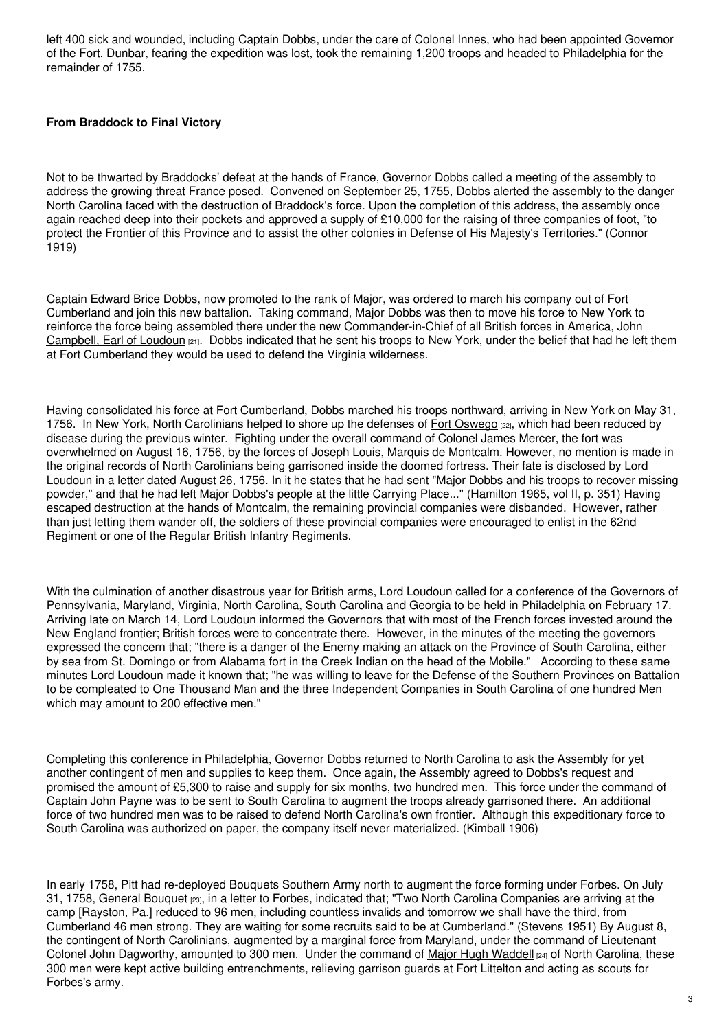left 400 sick and wounded, including Captain Dobbs, under the care of Colonel Innes, who had been appointed Governor of the Fort. Dunbar, fearing the expedition was lost, took the remaining 1,200 troops and headed to Philadelphia for the remainder of 1755.

## **From Braddock to Final Victory**

Not to be thwarted by Braddocks' defeat at the hands of France, Governor Dobbs called a meeting of the assembly to address the growing threat France posed. Convened on September 25, 1755, Dobbs alerted the assembly to the danger North Carolina faced with the destruction of Braddock's force. Upon the completion of this address, the assembly once again reached deep into their pockets and approved a supply of £10,000 for the raising of three companies of foot, "to protect the Frontier of this Province and to assist the other colonies in Defense of His Majesty's Territories." (Connor 1919)

Captain Edward Brice Dobbs, now promoted to the rank of Major, was ordered to march his company out of Fort Cumberland and join this new battalion. Taking command, Major Dobbs was then to move his force to New York to reinforce the force being assembled there under the new [Commander-in-Chief](https://www.nationalgalleries.org/search) of all British forces in America, John Campbell, Earl of Loudoun  $[21]$ . Dobbs indicated that he sent his troops to New York, under the belief that had he left them at Fort Cumberland they would be used to defend the Virginia wilderness.

Having consolidated his force at Fort Cumberland, Dobbs marched his troops northward, arriving in New York on May 31, 1756. In New York, North Carolinians helped to shore up the defenses of Fort [Oswego](https://museum.dmna.ny.gov/forts) [22], which had been reduced by disease during the previous winter. Fighting under the overall command of Colonel James Mercer, the fort was overwhelmed on August 16, 1756, by the forces of Joseph Louis, Marquis de Montcalm. However, no mention is made in the original records of North Carolinians being garrisoned inside the doomed fortress. Their fate is disclosed by Lord Loudoun in a letter dated August 26, 1756. In it he states that he had sent "Major Dobbs and his troops to recover missing powder," and that he had left Major Dobbs's people at the little Carrying Place..." (Hamilton 1965, vol II, p. 351) Having escaped destruction at the hands of Montcalm, the remaining provincial companies were disbanded. However, rather than just letting them wander off, the soldiers of these provincial companies were encouraged to enlist in the 62nd Regiment or one of the Regular British Infantry Regiments.

With the culmination of another disastrous year for British arms, Lord Loudoun called for a conference of the Governors of Pennsylvania, Maryland, Virginia, North Carolina, South Carolina and Georgia to be held in Philadelphia on February 17. Arriving late on March 14, Lord Loudoun informed the Governors that with most of the French forces invested around the New England frontier; British forces were to concentrate there. However, in the minutes of the meeting the governors expressed the concern that; "there is a danger of the Enemy making an attack on the Province of South Carolina, either by sea from St. Domingo or from Alabama fort in the Creek Indian on the head of the Mobile." According to these same minutes Lord Loudoun made it known that; "he was willing to leave for the Defense of the Southern Provinces on Battalion to be compleated to One Thousand Man and the three Independent Companies in South Carolina of one hundred Men which may amount to 200 effective men."

Completing this conference in Philadelphia, Governor Dobbs returned to North Carolina to ask the Assembly for yet another contingent of men and supplies to keep them. Once again, the Assembly agreed to Dobbs's request and promised the amount of £5,300 to raise and supply for six months, two hundred men. This force under the command of Captain John Payne was to be sent to South Carolina to augment the troops already garrisoned there. An additional force of two hundred men was to be raised to defend North Carolina's own frontier. Although this expeditionary force to South Carolina was authorized on paper, the company itself never materialized. (Kimball 1906)

In early 1758, Pitt had re-deployed Bouquets Southern Army north to augment the force forming under Forbes. On July 31, 1758, General [Bouquet](https://ohiohistorycentral.org/w/Bouquet,_Henry?rec=45) [23], in a letter to Forbes, indicated that; "Two North Carolina Companies are arriving at the camp [Rayston, Pa.] reduced to 96 men, including countless invalids and tomorrow we shall have the third, from Cumberland 46 men strong. They are waiting for some recruits said to be at Cumberland." (Stevens 1951) By August 8, the contingent of North Carolinians, augmented by a marginal force from Maryland, under the command of Lieutenant Colonel John Dagworthy, amounted to 300 men. Under the command of Major Hugh [Waddell](https://www.ncpedia.org/biography/waddell-hugh) [24] of North Carolina, these 300 men were kept active building entrenchments, relieving garrison guards at Fort Littelton and acting as scouts for Forbes's army.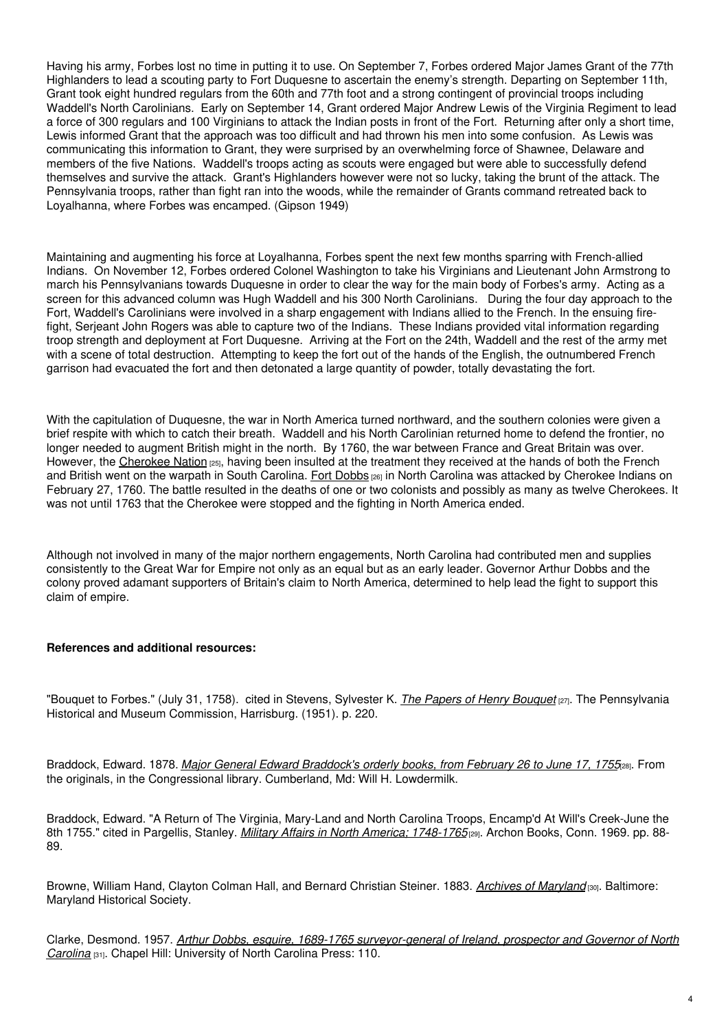Having his army, Forbes lost no time in putting it to use. On September 7, Forbes ordered Major James Grant of the 77th Highlanders to lead a scouting party to Fort Duquesne to ascertain the enemy's strength. Departing on September 11th, Grant took eight hundred regulars from the 60th and 77th foot and a strong contingent of provincial troops including Waddell's North Carolinians. Early on September 14, Grant ordered Major Andrew Lewis of the Virginia Regiment to lead a force of 300 regulars and 100 Virginians to attack the Indian posts in front of the Fort. Returning after only a short time, Lewis informed Grant that the approach was too difficult and had thrown his men into some confusion. As Lewis was communicating this information to Grant, they were surprised by an overwhelming force of Shawnee, Delaware and members of the five Nations. Waddell's troops acting as scouts were engaged but were able to successfully defend themselves and survive the attack. Grant's Highlanders however were not so lucky, taking the brunt of the attack. The Pennsylvania troops, rather than fight ran into the woods, while the remainder of Grants command retreated back to Loyalhanna, where Forbes was encamped. (Gipson 1949)

Maintaining and augmenting his force at Loyalhanna, Forbes spent the next few months sparring with French-allied Indians. On November 12, Forbes ordered Colonel Washington to take his Virginians and Lieutenant John Armstrong to march his Pennsylvanians towards Duquesne in order to clear the way for the main body of Forbes's army. Acting as a screen for this advanced column was Hugh Waddell and his 300 North Carolinians. During the four day approach to the Fort, Waddell's Carolinians were involved in a sharp engagement with Indians allied to the French. In the ensuing firefight, Serjeant John Rogers was able to capture two of the Indians. These Indians provided vital information regarding troop strength and deployment at Fort Duquesne. Arriving at the Fort on the 24th, Waddell and the rest of the army met with a scene of total destruction. Attempting to keep the fort out of the hands of the English, the outnumbered French garrison had evacuated the fort and then detonated a large quantity of powder, totally devastating the fort.

With the capitulation of Duquesne, the war in North America turned northward, and the southern colonies were given a brief respite with which to catch their breath. Waddell and his North Carolinian returned home to defend the frontier, no longer needed to augment British might in the north. By 1760, the war between France and Great Britain was over. However, the [Cherokee](https://www.ncpedia.org/cherokee) Nation [25], having been insulted at the treatment they received at the hands of both the French and British went on the warpath in South Carolina. Fort [Dobbs](https://www.ncpedia.org/fort-dobbs) [26] in North Carolina was attacked by Cherokee Indians on February 27, 1760. The battle resulted in the deaths of one or two colonists and possibly as many as twelve Cherokees. It was not until 1763 that the Cherokee were stopped and the fighting in North America ended.

Although not involved in many of the major northern engagements, North Carolina had contributed men and supplies consistently to the Great War for Empire not only as an equal but as an early leader. Governor Arthur Dobbs and the colony proved adamant supporters of Britain's claim to North America, determined to help lead the fight to support this claim of empire.

### **References and additional resources:**

"Bouquet to Forbes." (July 31, 1758). cited in Stevens, Sylvester K. *The Papers of Henry [Bouquet](https://www.worldcat.org/oclc/65662251)* [27]. The Pennsylvania Historical and Museum Commission, Harrisburg. (1951). p. 220.

Braddock, Edward. 1878. *Major General Edward [Braddock's](https://www.worldcat.org/oclc/11165704) orderly books, from February 26 to June 17, 1755*[28]. From the originals, in the Congressional library. Cumberland, Md: Will H. Lowdermilk.

Braddock, Edward. "A Return of The Virginia, Mary-Land and North Carolina Troops, Encamp'd At Will's Creek-June the 8th 1755." cited in Pargellis, Stanley. *Military Affairs in North America; [1748-1765](https://www.worldcat.org/oclc/23595)*[29]. Archon Books, Conn. 1969. pp. 88- 89.

Browne, William Hand, Clayton Colman Hall, and Bernard Christian Steiner. 1883. *Archives of [Maryland](https://www.worldcat.org/oclc/1513875)* [30]. Baltimore: Maryland Historical Society.

Clarke, Desmond. 1957. *Arthur Dobbs, esquire, 1689-1765 [surveyor-general](https://www.worldcat.org/oclc/477130) of Ireland, prospector and Governor of North Carolina* [31]. Chapel Hill: University of North Carolina Press: 110.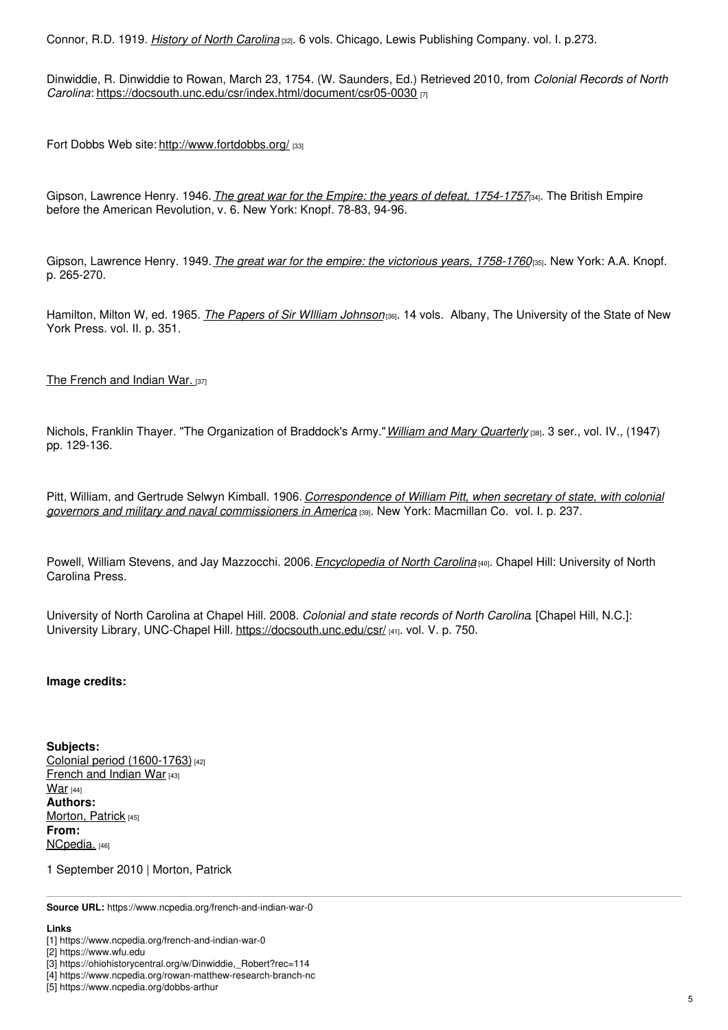Connor, R.D. 1919. *History of North [Carolina](https://archive.org/details/historyofnorthca01conn)* [32]. 6 vols. Chicago, Lewis Publishing Company. vol. I. p.273.

Dinwiddie, R. Dinwiddie to Rowan, March 23, 1754. (W. Saunders, Ed.) Retrieved 2010, from *Colonial Records of North Carolina*: <https://docsouth.unc.edu/csr/index.html/document/csr05-0030> [7]

Fort Dobbs Web site: <http://www.fortdobbs.org/> [33]

Gipson, Lawrence Henry. 1946.*The great war for the Empire: the years of defeat, [1754-1757](https://www.worldcat.org/oclc/10459508)*[34]. The British Empire before the American Revolution, v. 6. New York: Knopf. 78-83, 94-96.

Gipson, Lawrence Henry. 1949.*The great war for the empire: the victorious years, [1758-1760](https://www.worldcat.org/oclc/772719)*[35]. New York: A.A. Knopf. p. 265-270.

Hamilton, Milton W, ed. 1965. *The Papers of Sir WIlliam [Johnson](https://archive.org/details/papersofsirwilli02johnuoft)*[36]. 14 vols. Albany, The University of the State of New York Press. vol. II. p. 351.

The [French](https://www.ncpedia.org/anchor/french-and-indian-war) and Indian War. [37]

Nichols, Franklin Thayer. "The Organization of Braddock's Army."*William and Mary [Quarterly](https://www.worldcat.org/oclc/1607858)* [38]. 3 ser., vol. IV., (1947) pp. 129-136.

Pitt, William, and Gertrude Selwyn Kimball. 1906. *[Correspondence](https://www.worldcat.org/oclc/1224391) of William Pitt, when secretary of state, with colonial governors and military and naval commissioners in America* [39]. New York: Macmillan Co. vol. I. p. 237.

Powell, William Stevens, and Jay Mazzocchi. 2006.*[Encyclopedia](https://www.worldcat.org/oclc/67727572) of North Carolina* [40]. Chapel Hill: University of North Carolina Press.

University of North Carolina at Chapel Hill. 2008. *Colonial and state records of North Carolina*. [Chapel Hill, N.C.]: University Library, UNC-Chapel Hill. <https://docsouth.unc.edu/csr/> [41]. vol. V. p. 750.

### **Image credits:**

**Subjects:** Colonial period [\(1600-1763\)](https://www.ncpedia.org/category/subjects/colonial-period) [42] [French](https://www.ncpedia.org/category/subjects/french-and-indian) and Indian War [43] [War](https://www.ncpedia.org/category/subjects/war)  $[44]$ **Authors:** [Morton,](https://www.ncpedia.org/category/authors/morton-patrick) Patrick [45] **From:** [NCpedia.](https://www.ncpedia.org/category/entry-source/ncpedia) [46]

1 September 2010 | Morton, Patrick

**Source URL:** https://www.ncpedia.org/french-and-indian-war-0

#### **Links**

<sup>[1]</sup> https://www.ncpedia.org/french-and-indian-war-0

<sup>[2]</sup> https://www.wfu.edu

<sup>[3]</sup> https://ohiohistorycentral.org/w/Dinwiddie,\_Robert?rec=114

<sup>[4]</sup> https://www.ncpedia.org/rowan-matthew-research-branch-nc

<sup>[5]</sup> https://www.ncpedia.org/dobbs-arthur